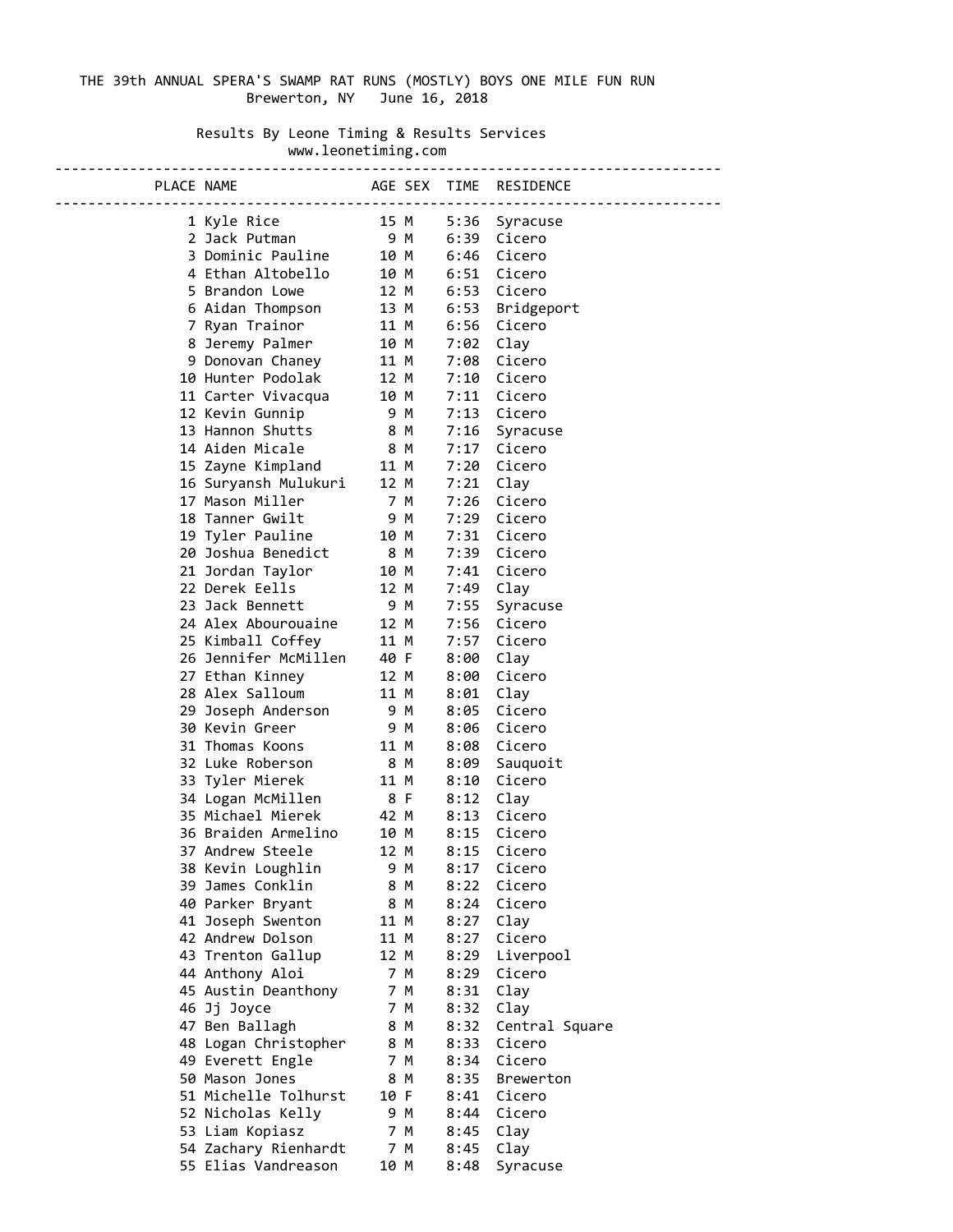## THE 39th ANNUAL SPERA'S SWAMP RAT RUNS (MOSTLY) BOYS ONE MILE FUN RUN Brewerton, NY June 16, 2018

## Results By Leone Timing & Results Services www.leonetiming.com

| PLACE NAME AGE SEX TIME RESIDENCE                                                                                                                                |      |              |             |                 |
|------------------------------------------------------------------------------------------------------------------------------------------------------------------|------|--------------|-------------|-----------------|
|                                                                                                                                                                  |      |              |             |                 |
| 1 Kyle Rice 15 M<br>2 Jack Putman                                                                                                                                |      |              |             | 5:36 Syracuse   |
| 2 Jack Putman<br>3 Dominic Pauline<br>4 Ethan Altobello<br>5 Brandon Lowe<br>6 Aidan Thompson<br>12 M<br>6:51 Cicero<br>6 Aidan Thompson<br>13 M<br>6:53 Bridger |      |              |             |                 |
|                                                                                                                                                                  |      |              |             |                 |
|                                                                                                                                                                  |      |              |             |                 |
|                                                                                                                                                                  |      |              |             |                 |
| 7 Ryan Trainor 11 M 6:56 Cicero                                                                                                                                  |      |              |             | 6:53 Bridgeport |
| 8 Jeremy Palmer 10 M                                                                                                                                             |      |              |             |                 |
|                                                                                                                                                                  |      |              | $7:02$ Clay |                 |
| 9 Donovan Chaney 11 M                                                                                                                                            |      |              |             | 7:08 Cicero     |
|                                                                                                                                                                  |      |              |             | 7:10 Cicero     |
|                                                                                                                                                                  |      |              |             | 7:11 Cicero     |
| 10 Hunter Podolak 12 M<br>11 Carter Vivacqua 10 M<br>12 Kevin Gunnip 9 M<br>13 Hannon Shutts 8 M                                                                 |      |              |             | 7:13 Cicero     |
| 14 Aiden Micale 8 M                                                                                                                                              |      |              |             | 7:16 Syracuse   |
|                                                                                                                                                                  |      |              |             | 7:17 Cicero     |
| 15 Zayne Kimpland 11 M                                                                                                                                           |      |              |             | 7:20 Cicero     |
| 16 Suryansh Mulukuri 12 M                                                                                                                                        |      |              | $7:21$ Clay |                 |
| 17 Mason Miller<br>7 M                                                                                                                                           |      |              |             | 7:26 Cicero     |
|                                                                                                                                                                  |      |              |             |                 |
|                                                                                                                                                                  |      |              |             |                 |
|                                                                                                                                                                  |      |              |             |                 |
|                                                                                                                                                                  |      |              |             |                 |
|                                                                                                                                                                  |      |              |             |                 |
|                                                                                                                                                                  |      |              |             | Syracuse        |
| 24 Alex Abourouaine 12 M                                                                                                                                         |      |              |             | 7:56 Cicero     |
| 25 Kimball Coffey 11 M                                                                                                                                           |      |              |             | 7:57 Cicero     |
|                                                                                                                                                                  |      |              | 8:00        | Clay            |
|                                                                                                                                                                  |      |              |             | 8:00 Cicero     |
|                                                                                                                                                                  |      |              | 8:01 Clay   |                 |
|                                                                                                                                                                  |      |              |             | 8:05 Cicero     |
|                                                                                                                                                                  |      |              |             | 8:06 Cicero     |
| 11 M<br>31 Thomas Koons                                                                                                                                          |      |              |             | 8:08 Cicero     |
| 32 Luke Roberson 8 M                                                                                                                                             |      |              | 8:09        | Sauquoit        |
| 33 Tyler Mierek<br>11 M                                                                                                                                          |      |              |             | 8:10 Cicero     |
| 34 Logan McMillen         8 F                                                                                                                                    |      |              | 8:12 Clay   |                 |
| 35 Michael Mierek                                                                                                                                                | 42 M |              |             | 8:13 Cicero     |
| 36 Braiden Armelino                                                                                                                                              |      | 42 M<br>10 M |             | 8:15 Cicero     |
| 37 Andrew Steele                                                                                                                                                 | 12 M |              | 8:15        | Cicero          |
| 38 Kevin Loughlin                                                                                                                                                |      | 9 M          | 8:17        | Cicero          |
| 39 James Conklin                                                                                                                                                 |      | 8 M          | 8:22        | Cicero          |
| 40 Parker Bryant                                                                                                                                                 |      | 8 M          | 8:24        | Cicero          |
| 41 Joseph Swenton                                                                                                                                                | 11 M |              | 8:27        | Clay            |
| 42 Andrew Dolson                                                                                                                                                 | 11 M |              | 8:27        | Cicero          |
| 43 Trenton Gallup                                                                                                                                                | 12 M |              | 8:29        | Liverpool       |
| 44 Anthony Aloi                                                                                                                                                  |      | 7 M          | 8:29        | Cicero          |
| 45 Austin Deanthony                                                                                                                                              |      | 7 M          | 8:31        | Clay            |
| 46 Jj Joyce                                                                                                                                                      |      | 7 M          | 8:32        | Clay            |
| 47 Ben Ballagh                                                                                                                                                   |      | 8 M          | 8:32        | Central Square  |
| 48 Logan Christopher                                                                                                                                             |      | 8 M          | 8:33        | Cicero          |
| 49 Everett Engle                                                                                                                                                 |      | 7 M          | 8:34        | Cicero          |
| 50 Mason Jones                                                                                                                                                   |      | 8 M          | 8:35        | Brewerton       |
| 51 Michelle Tolhurst                                                                                                                                             | 10 F |              | 8:41        | Cicero          |
| 52 Nicholas Kelly                                                                                                                                                |      | 9 M          |             | 8:44 Cicero     |
| 53 Liam Kopiasz                                                                                                                                                  |      | 7 M          | 8:45        | Clay            |
| 54 Zachary Rienhardt                                                                                                                                             |      | 7 M          | 8:45        | Clay            |
| 55 Elias Vandreason                                                                                                                                              | 10 M |              | 8:48        | Syracuse        |
|                                                                                                                                                                  |      |              |             |                 |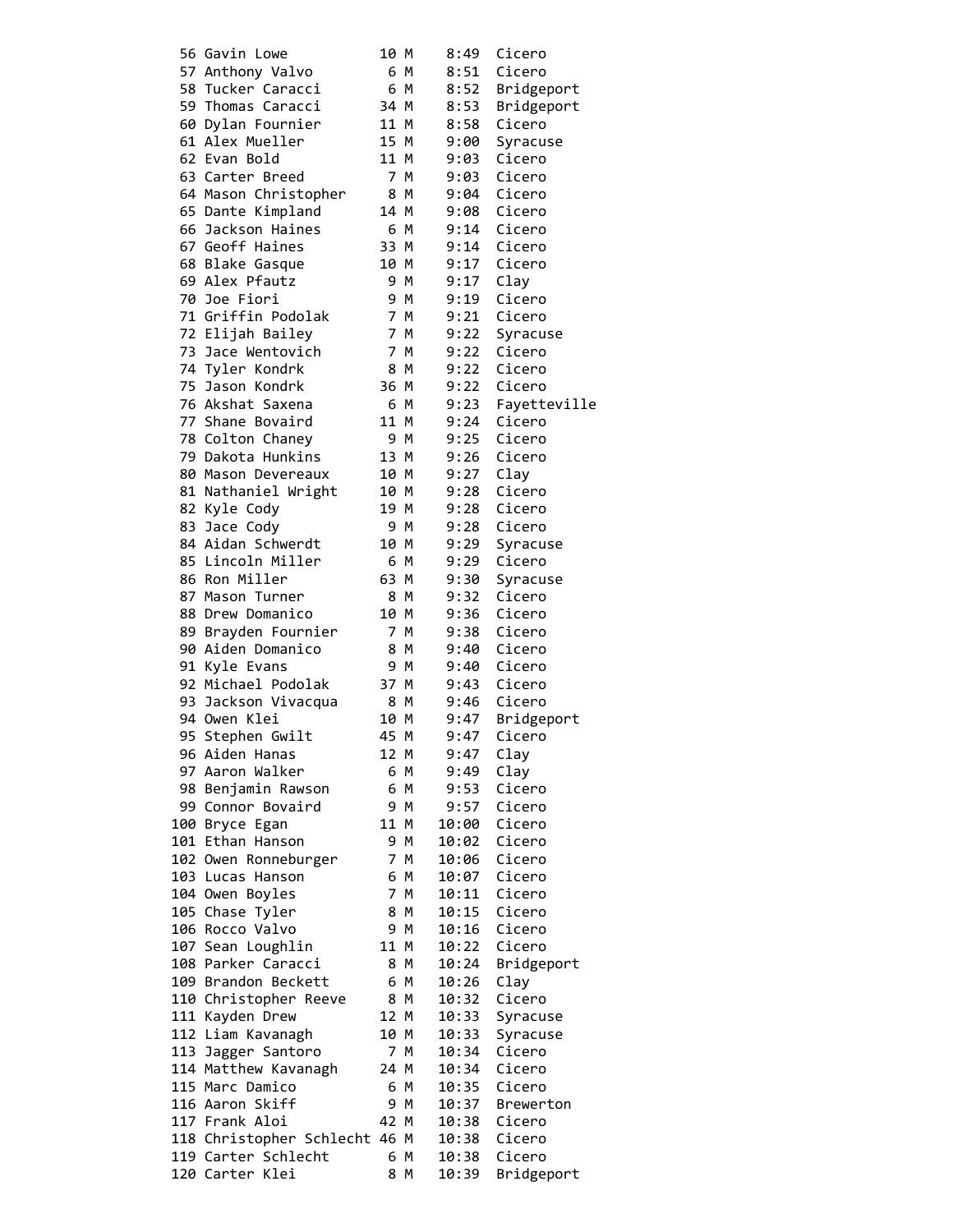| 56 Gavin Lowe                    | 10 M |     | 8:49         | Cicero           |
|----------------------------------|------|-----|--------------|------------------|
| 57 Anthony Valvo                 |      | 6 M | 8:51         | Cicero           |
| 58 Tucker Caracci                |      | 6 M | 8:52         | Bridgeport       |
| 59 Thomas Caracci                | 34 M |     | 8:53         | Bridgeport       |
| 60 Dylan Fournier                | 11 M |     | 8:58         | Cicero           |
| 61 Alex Mueller                  | 15 M |     | 9:00         | Syracuse         |
| 62 Evan Bold                     | 11 M |     | 9:03         | Cicero           |
| 63 Carter Breed                  |      | 7 M | 9:03         | Cicero           |
| 64 Mason Christopher             |      | 8 M | 9:04         | Cicero           |
| 65 Dante Kimpland                | 14 M |     | 9:08         | Cicero           |
| 66 Jackson Haines                |      | 6 M | 9:14         | Cicero           |
| 67 Geoff Haines                  | 33 M |     | 9:14         | Cicero           |
| 68 Blake Gasque                  | 10 M |     | 9:17         | Cicero           |
| 69 Alex Pfautz                   |      | 9 M | 9:17         | Clay             |
| 70 Joe Fiori                     |      | 9 M | 9:19         | Cicero           |
| 71 Griffin Podolak               |      | 7 M | 9:21         | Cicero           |
| 72 Elijah Bailey                 |      | 7 M | 9:22         | Syracuse         |
| 73 Jace Wentovich                |      | 7 M | 9:22         | Cicero           |
| 74 Tyler Kondrk                  |      | 8 M | 9:22         | Cicero           |
| 75 Jason Kondrk                  | 36 M |     | 9:22         | Cicero           |
| 76 Akshat Saxena                 |      | 6 M | 9:23         | Fayetteville     |
| 77 Shane Bovaird                 | 11 M |     | 9:24         | Cicero           |
| 78 Colton Chaney                 |      | 9 M | 9:25         | Cicero           |
| 79 Dakota Hunkins                | 13 M |     | 9:26         | Cicero           |
| 80 Mason Devereaux               | 10 M |     | 9:27         | Clay             |
| 81 Nathaniel Wright              | 10 M |     | 9:28         | Cicero           |
| 82 Kyle Cody                     | 19 M |     | 9:28         | Cicero           |
| 83 Jace Cody                     |      | 9 M | 9:28         | Cicero           |
| 84 Aidan Schwerdt                | 10 M |     | 9:29         | Syracuse         |
| 85 Lincoln Miller                |      | 6 M | 9:29         | Cicero           |
| 86 Ron Miller<br>87 Mason Turner | 63 M | 8 M | 9:30         | Syracuse         |
| 88 Drew Domanico                 | 10 M |     | 9:32<br>9:36 | Cicero<br>Cicero |
| 89 Brayden Fournier              |      | 7 M | 9:38         | Cicero           |
| 90 Aiden Domanico                |      | 8 M | 9:40         | Cicero           |
| 91 Kyle Evans                    |      | 9 M | 9:40         | Cicero           |
| 92 Michael Podolak               | 37 M |     | 9:43         | Cicero           |
| 93 Jackson Vivacqua              |      | 8 M | 9:46         | Cicero           |
| 94 Owen Klei                     | 10 M |     | 9:47         | Bridgeport       |
| 95 Stephen Gwilt                 | 45 M |     | 9:47         | Cicero           |
| 96 Aiden Hanas                   | 12 M |     | 9:47         | Clay             |
| 97 Aaron Walker                  |      | 6 M | 9:49         | Clay             |
| 98 Benjamin Rawson               |      | 6 M | 9:53         | Cicero           |
| 99 Connor Bovaird                |      | 9 M | 9:57         | Cicero           |
| 100 Bryce Egan                   | 11 M |     | 10:00        | Cicero           |
| 101 Ethan Hanson                 |      | 9 M | 10:02        | Cicero           |
| 102 Owen Ronneburger             |      | 7 M | 10:06        | Cicero           |
| 103 Lucas Hanson                 |      | 6 M | 10:07        | Cicero           |
| 104 Owen Boyles                  |      | 7 M | 10:11        | Cicero           |
| 105 Chase Tyler                  |      | 8 M | 10:15        | Cicero           |
| 106 Rocco Valvo                  |      | 9 M | 10:16        | Cicero           |
| 107 Sean Loughlin                | 11 M |     | 10:22        | Cicero           |
| 108 Parker Caracci               |      | 8 M | 10:24        | Bridgeport       |
| 109 Brandon Beckett              |      | 6 M | 10:26        | Clay             |
| 110 Christopher Reeve            |      | 8 M | 10:32        | Cicero           |
| 111 Kayden Drew                  | 12 M |     | 10:33        | Syracuse         |
| 112 Liam Kavanagh                | 10 M |     | 10:33        | Syracuse         |
| 113 Jagger Santoro               |      | 7 M | 10:34        | Cicero           |
| 114 Matthew Kavanagh             | 24 M |     | 10:34        | Cicero           |
| 115 Marc Damico                  |      | 6 M | 10:35        | Cicero           |
| 116 Aaron Skiff                  |      | 9 M | 10:37        | Brewerton        |
| 117 Frank Aloi                   | 42 M |     | 10:38        | Cicero           |
| 118 Christopher Schlecht 46 M    |      |     | 10:38        | Cicero           |
| 119 Carter Schlecht              |      | 6 M | 10:38        | Cicero           |
| 120 Carter Klei                  |      | 8 M | 10:39        | Bridgeport       |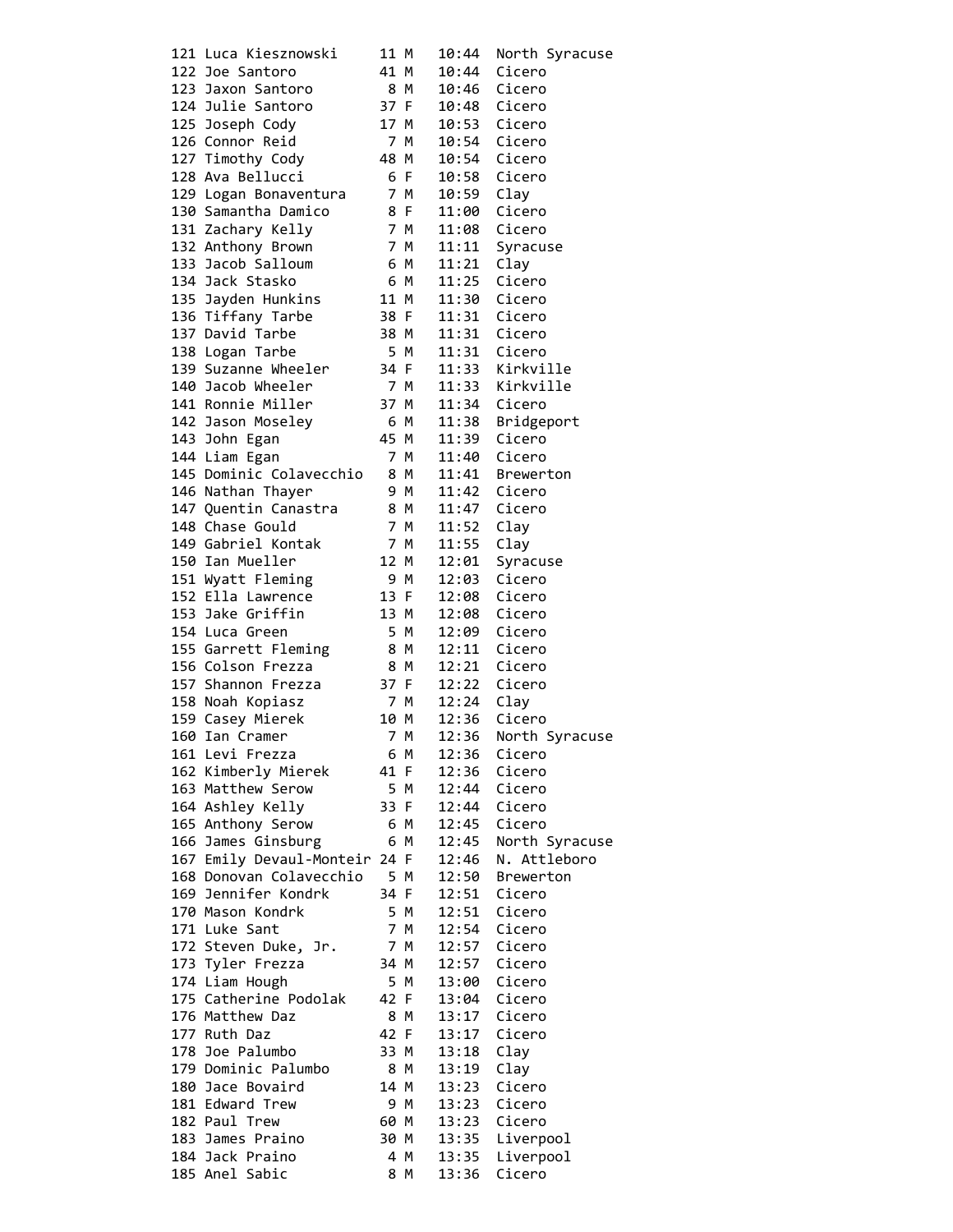|  | 121 Luca Kiesznowski          | 11 M |      | 10:44        | North Syracuse  |
|--|-------------------------------|------|------|--------------|-----------------|
|  | 122 Joe Santoro               | 41 M |      | 10:44        | Cicero          |
|  | 123 Jaxon Santoro             | 8 M  |      | 10:46        | Cicero          |
|  |                               |      |      |              |                 |
|  | 124 Julie Santoro             | 37 F |      | 10:48        | Cicero          |
|  | 125 Joseph Cody               | 17 M |      | 10:53 Cicero |                 |
|  | 126 Connor Reid               | 7 M  |      | 10:54 Cicero |                 |
|  | 127 Timothy Cody              | 48 M |      | 10:54 Cicero |                 |
|  |                               |      |      |              |                 |
|  | 128 Ava Bellucci              | 6 F  |      | 10:58        | Cicero          |
|  | 129 Logan Bonaventura         | 7 M  |      | 10:59        | Clay            |
|  | 130 Samantha Damico           | 8 F  |      | 11:00        | Cicero          |
|  | 131 Zachary Kelly             |      | 7 M  | 11:08        | Cicero          |
|  |                               |      |      |              |                 |
|  | 132 Anthony Brown             | 7 M  |      | 11:11        | Syracuse        |
|  | 133 Jacob Salloum             | 6 M  |      | 11:21        | Clay            |
|  | 134 Jack Stasko               | 6 M  |      | 11:25        | Cicero          |
|  | 135 Jayden Hunkins            | 11 M |      |              | 11:30 Cicero    |
|  | 136 Tiffany Tarbe             | 38 F |      | 11:31        | Cicero          |
|  |                               |      |      |              |                 |
|  | 137 David Tarbe               | 38 M |      | 11:31        | Cicero          |
|  | 138 Logan Tarbe               | 5 M  |      | 11:31        | Cicero          |
|  | 139 Suzanne Wheeler           | 34 F |      | 11:33        | Kirkville       |
|  | 140 Jacob Wheeler             | 7 M  |      | 11:33        | Kirkville       |
|  |                               | 37 M |      |              |                 |
|  | 141 Ronnie Miller             |      |      | 11:34 Cicero |                 |
|  | 142 Jason Moseley             | 6 M  |      | 11:38        | Bridgeport      |
|  | 143 John Egan                 | 45 M |      | 11:39        | Cicero          |
|  | 144 Liam Egan                 | 7 M  |      | 11:40        | Cicero          |
|  | 145 Dominic Colavecchio 8 M   |      |      | 11:41        |                 |
|  |                               |      |      |              | Brewerton       |
|  | 146 Nathan Thayer             |      | 9 M  | 11:42        | Cicero          |
|  | 147 Quentin Canastra          | 8 M  |      | 11:47        | Cicero          |
|  | 148 Chase Gould               | 7 M  |      | 11:52        | Clay            |
|  | 149 Gabriel Kontak            | 7 M  |      | 11:55        |                 |
|  |                               |      |      |              | Clay            |
|  | 150 Ian Mueller               | 12 M |      | 12:01        | Syracuse        |
|  | 151 Wyatt Fleming             | 9 M  |      | 12:03        | Cicero          |
|  | 152 Ella Lawrence             | 13 F |      | 12:08        | Cicero          |
|  | 153 Jake Griffin              | 13 M |      | 12:08        | Cicero          |
|  |                               |      |      |              |                 |
|  | 154 Luca Green                | 5 M  |      | 12:09        | Cicero          |
|  | 155 Garrett Fleming           | 8 M  |      | 12:11        | Cicero          |
|  | 156 Colson Frezza             | 8 M  |      | 12:21 Cicero |                 |
|  | 157 Shannon Frezza            |      | 37 F | 12:22 Cicero |                 |
|  |                               | 7 M  |      |              |                 |
|  | 158 Noah Kopiasz              |      |      | 12:24        | Clay            |
|  | 159 Casey Mierek              | 10 M |      | 12:36        | Cicero          |
|  | 160 Ian Cramer                |      | 7 M  | 12:36        | North Syracuse  |
|  | 161 Levi Frezza               | 6 M  |      |              | 12:36 Cicero    |
|  | 162 Kimberly Mierek 41 F      |      |      | 12:36        | Cicero          |
|  |                               |      |      |              |                 |
|  | 163 Matthew Serow             | 5 M  |      | 12:44        | Cicero          |
|  | 164 Ashley Kelly              | 33 F |      | 12:44        | Cicero          |
|  | 165 Anthony Serow             | 6 M  |      | 12:45        | Cicero          |
|  | 166 James Ginsburg            | 6 M  |      | 12:45        | North Syracuse  |
|  | 167 Emily Devaul-Monteir 24 F |      |      | 12:46        | N. Attleboro    |
|  |                               |      |      |              |                 |
|  | 168 Donovan Colavecchio 5 M   |      |      | 12:50        | Brewerton       |
|  | 169 Jennifer Kondrk           | 34 F |      | 12:51        | Cicero          |
|  | 170 Mason Kondrk              | 5 M  |      | 12:51        | Cicero          |
|  | 171 Luke Sant                 | 7 M  |      | 12:54        | Cicero          |
|  |                               |      |      |              |                 |
|  | 172 Steven Duke, Jr.          | 7 M  |      | 12:57        | Cicero          |
|  | 173 Tyler Frezza              | 34 M |      | 12:57        | Cicero          |
|  | 174 Liam Hough                | 5 M  |      | 13:00        | Cicero          |
|  | 175 Catherine Podolak 42 F    |      |      | 13:04        | Cicero          |
|  |                               | 8 M  |      |              |                 |
|  | 176 Matthew Daz               |      |      | 13:17        | Cicero          |
|  | 177 Ruth Daz                  | 42 F |      | 13:17        | Cicero          |
|  | 178 Joe Palumbo               | 33 M |      | 13:18        | Clay            |
|  | 179 Dominic Palumbo           | 8 M  |      | 13:19        | Clay            |
|  | 180 Jace Bovaird              | 14 M |      | 13:23        | Cicero          |
|  |                               |      |      |              |                 |
|  | 181 Edward Trew               | 9 M  |      | 13:23        | Cicero          |
|  | 182 Paul Trew                 | 60 M |      |              | 13:23 Cicero    |
|  | 183 James Praino              | 30 M |      |              | 13:35 Liverpool |
|  | 184 Jack Praino               | 4 M  |      | 13:35        | Liverpool       |
|  | 185 Anel Sabic                |      |      |              |                 |
|  |                               | 8 M  |      | 13:36        | Cicero          |